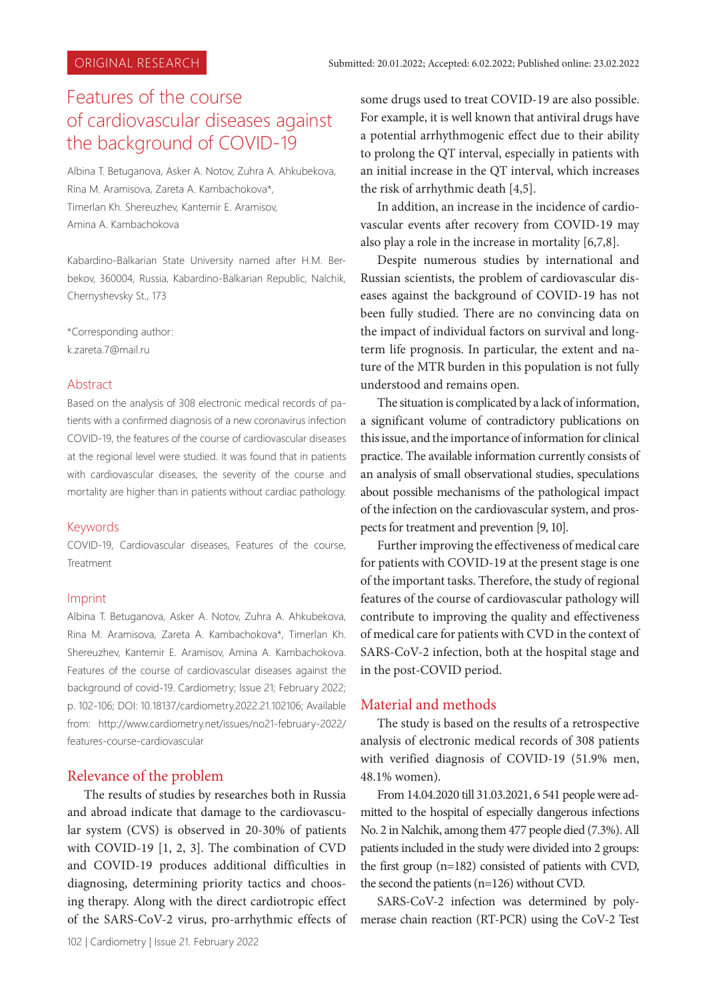# Features of the course of cardiovascular diseases against the background of COVID-19

Albina T. Betuganova, Asker A. Notov, Zuhra A. Ahkubekova, Rina M. Aramisova, Zareta A. Kambachokova\*, Timerlan Kh. Shereuzhev, Kantemir E. Aramisov, Amina A. Kambachokova

Kabardino-Balkarian State University named after H.M. Berbekov, 360004, Russia, Kabardino-Balkarian Republic, Nalchik, Chernyshevsky St., 173

\*Corresponding author: k.zareta.7@mail.ru

### Abstract

Based on the analysis of 308 electronic medical records of patients with a confirmed diagnosis of a new coronavirus infection COVID-19, the features of the course of cardiovascular diseases at the regional level were studied. It was found that in patients with cardiovascular diseases, the severity of the course and mortality are higher than in patients without cardiac pathology.

### Keywords

COVID-19, Сardiovascular diseases, Features of the course, Treatment

#### Imprint

Albina T. Betuganova, Asker A. Notov, Zuhra A. Ahkubekova, Rina M. Aramisova, Zareta A. Kambachokova\*, Timerlan Kh. Shereuzhev, Kantemir E. Aramisov, Amina A. Kambachokova. Features of the course of cardiovascular diseases against the background of covid-19. Cardiometry; Issue 21; February 2022; p. 102-106; DOI: 10.18137/cardiometry.2022.21.102106; Available from: http://www.cardiometry.net/issues/no21-february-2022/ features-course-cardiovascular

# Relevance of the problem

The results of studies by researches both in Russia and abroad indicate that damage to the cardiovascular system (CVS) is observed in 20-30% of patients with COVID-19 [1, 2, 3]. The combination of CVD and COVID-19 produces additional difficulties in diagnosing, determining priority tactics and choosing therapy. Along with the direct cardiotropic effect of the SARS-CoV-2 virus, pro-arrhythmic effects of some drugs used to treat COVID-19 are also possible. For example, it is well known that antiviral drugs have a potential arrhythmogenic effect due to their ability to prolong the QT interval, especially in patients with an initial increase in the QT interval, which increases the risk of arrhythmic death [4,5].

In addition, an increase in the incidence of cardiovascular events after recovery from COVID-19 may also play a role in the increase in mortality [6,7,8].

Despite numerous studies by international and Russian scientists, the problem of cardiovascular diseases against the background of COVID-19 has not been fully studied. There are no convincing data on the impact of individual factors on survival and longterm life prognosis. In particular, the extent and nature of the MTR burden in this population is not fully understood and remains open.

The situation is complicated by a lack of information, a significant volume of contradictory publications on this issue, and the importance of information for clinical practice. The available information currently consists of an analysis of small observational studies, speculations about possible mechanisms of the pathological impact of the infection on the cardiovascular system, and prospects for treatment and prevention [9, 10].

Further improving the effectiveness of medical care for patients with COVID-19 at the present stage is one of the important tasks. Therefore, the study of regional features of the course of cardiovascular pathology will contribute to improving the quality and effectiveness of medical care for patients with CVD in the context of SARS-CoV-2 infection, both at the hospital stage and in the post-COVID period.

# Material and methods

The study is based on the results of a retrospective analysis of electronic medical records of 308 patients with verified diagnosis of COVID-19 (51.9% men, 48.1% women).

From 14.04.2020 till 31.03.2021, 6 541 people were admitted to the hospital of especially dangerous infections No. 2 in Nalchik, among them 477 people died (7.3%). All patients included in the study were divided into 2 groups: the first group (n=182) consisted of patients with CVD, the second the patients (n=126) without CVD.

SARS-CoV-2 infection was determined by polymerase chain reaction (RT-PCR) using the CoV-2 Test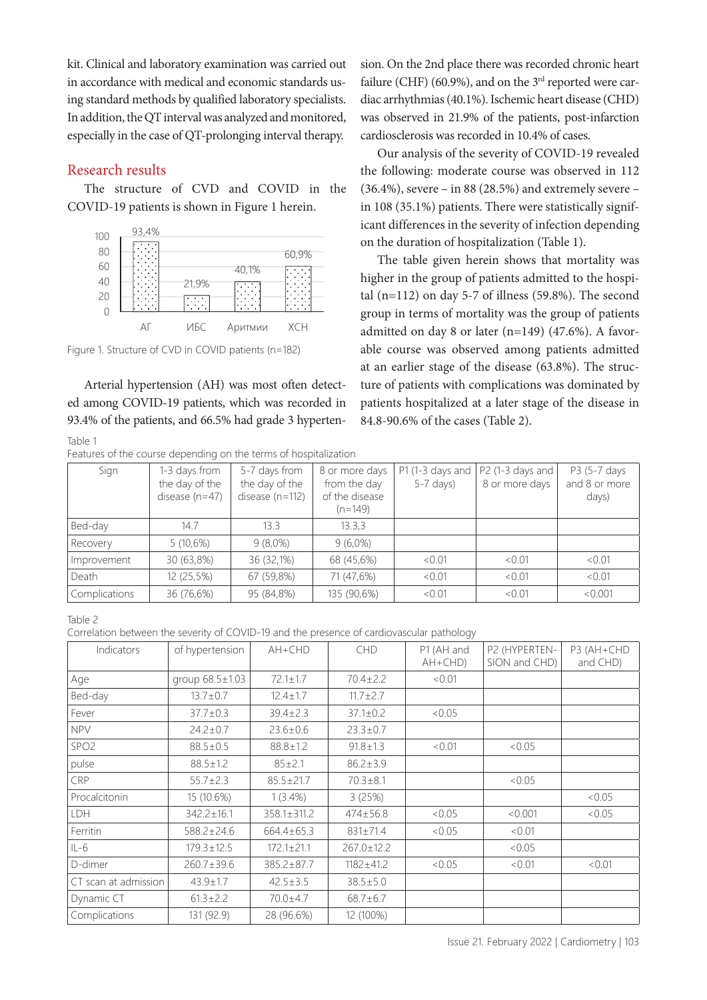kit. Clinical and laboratory examination was carried out in accordance with medical and economic standards using standard methods by qualified laboratory specialists. In addition, the QT interval was analyzed and monitored, especially in the case of QT-prolonging interval therapy.

### Research results

The structure of CVD and COVID in the COVID-19 patients is shown in Figure 1 herein.



Figure 1. Structure of CVD in COVID patients (n=182)

Arterial hypertension (AH) was most often detected among COVID-19 patients, which was recorded in 93.4% of the patients, and 66.5% had grade 3 hyperten-

Table 1 Features of the course depending on the terms of hospitalization

sion. On the 2nd place there was recorded chronic heart failure (CHF) (60.9%), and on the  $3<sup>rd</sup>$  reported were cardiac arrhythmias (40.1%). Ischemic heart disease (CHD) was observed in 21.9% of the patients, post-infarction cardiosclerosis was recorded in 10.4% of cases.

Our analysis of the severity of COVID-19 revealed the following: moderate course was observed in 112  $(36.4\%)$ , severe – in 88 (28.5%) and extremely severe – in 108 (35.1%) patients. There were statistically significant differences in the severity of infection depending on the duration of hospitalization (Table 1).

The table given herein shows that mortality was higher in the group of patients admitted to the hospital (n=112) on day 5-7 of illness (59.8%). The second group in terms of mortality was the group of patients admitted on day 8 or later (n=149) (47.6%). A favorable course was observed among patients admitted at an earlier stage of the disease (63.8%). The structure of patients with complications was dominated by patients hospitalized at a later stage of the disease in 84.8-90.6% of the cases (Table 2).

| I Catules Of the course appenanty on the terms of hospitalization. |                                                     |                                                      |                                                               |                                 |                                    |                                        |  |
|--------------------------------------------------------------------|-----------------------------------------------------|------------------------------------------------------|---------------------------------------------------------------|---------------------------------|------------------------------------|----------------------------------------|--|
| Sign                                                               | 1-3 days from<br>the day of the<br>disease $(n=47)$ | 5-7 days from<br>the day of the<br>disease $(n=112)$ | 8 or more days<br>from the day<br>of the disease<br>$(n=149)$ | P1 (1-3 days and<br>$5-7$ days) | P2 (1-3 days and<br>8 or more days | P3 (5-7 days<br>and 8 or more<br>days) |  |
| Bed-day                                                            | 14.7                                                | 13.3                                                 | 13.3.3                                                        |                                 |                                    |                                        |  |
| Recovery                                                           | 5(10,6%)                                            | $9(8,0\%)$                                           | $9(6,0\%)$                                                    |                                 |                                    |                                        |  |
| Improvement                                                        | 30 (63,8%)                                          | 36 (32,1%)                                           | 68 (45,6%)                                                    | < 0.01                          | < 0.01                             | < 0.01                                 |  |
| Death                                                              | 12 (25,5%)                                          | 67 (59,8%)                                           | 71 (47,6%)                                                    | < 0.01                          | < 0.01                             | < 0.01                                 |  |
| Complications                                                      | 36 (76,6%)                                          | 95 (84,8%)                                           | 135 (90,6%)                                                   | < 0.01                          | < 0.01                             | < 0.001                                |  |

Table 2

Correlation between the severity of COVID-19 and the presence of cardiovascular pathology

| Indicators           | of hypertension       | $AH+CHD$          | <b>CHD</b>       | P1 (AH and<br>$AH+CHD)$ | P2 (HYPERTEN-<br>SION and CHD) | P3 (AH+CHD<br>and CHD) |
|----------------------|-----------------------|-------------------|------------------|-------------------------|--------------------------------|------------------------|
| Age                  | group $68.5 \pm 1.03$ | $72.1 \pm 1.7$    | $70.4 \pm 2.2$   | < 0.01                  |                                |                        |
| Bed-day              | $13.7 \pm 0.7$        | $12.4 \pm 1.7$    | $11.7 \pm 2.7$   |                         |                                |                        |
| Fever                | $37.7 \pm 0.3$        | $39.4 \pm 2.3$    | $37.1 \pm 0.2$   | <0.05                   |                                |                        |
| <b>NPV</b>           | $24.2 \pm 0.7$        | $23.6 \pm 0.6$    | $23.3 \pm 0.7$   |                         |                                |                        |
| SPO <sub>2</sub>     | $88.5 \pm 0.5$        | $88.8 \pm 1.2$    | $91.8 \pm 1.3$   | < 0.01                  | <0.05                          |                        |
| pulse                | $88.5 \pm 1.2$        | $85 \pm 2.1$      | $86.2 \pm 3.9$   |                         |                                |                        |
| <b>CRP</b>           | $55.7 \pm 2.3$        | $85.5 \pm 21.7$   | $70.3 \pm 8.1$   |                         | <0.05                          |                        |
| Procalcitonin        | 15 (10.6%)            | $1(3.4\%)$        | 3(25%)           |                         |                                | <0.05                  |
| <b>LDH</b>           | $342.2 \pm 16.1$      | $358.1 \pm 311.2$ | $474 \pm 56.8$   | <0.05                   | < 0.001                        | <0.05                  |
| Ferritin             | 588.2±24.6            | 664.4±65.3        | $831 \pm 71.4$   | <0.05                   | <0.01                          |                        |
| $IL-6$               | $179.3 \pm 12.5$      | $172.1 \pm 21.1$  | $267.0 \pm 12.2$ |                         | <0.05                          |                        |
| D-dimer              | $260.7 \pm 39.6$      | $385.2 \pm 87.7$  | $1182 + 41.2$    | <0.05                   | <0.01                          | < 0.01                 |
| CT scan at admission | $43.9 \pm 1.7$        | $42.5 \pm 3.5$    | $38.5 \pm 5.0$   |                         |                                |                        |
| Dynamic CT           | $61.3 \pm 2.2$        | $70.0 + 4.7$      | $68.7 \pm 6.7$   |                         |                                |                        |
| Complications        | 131 (92.9)            | 28 (96.6%)        | 12 (100%)        |                         |                                |                        |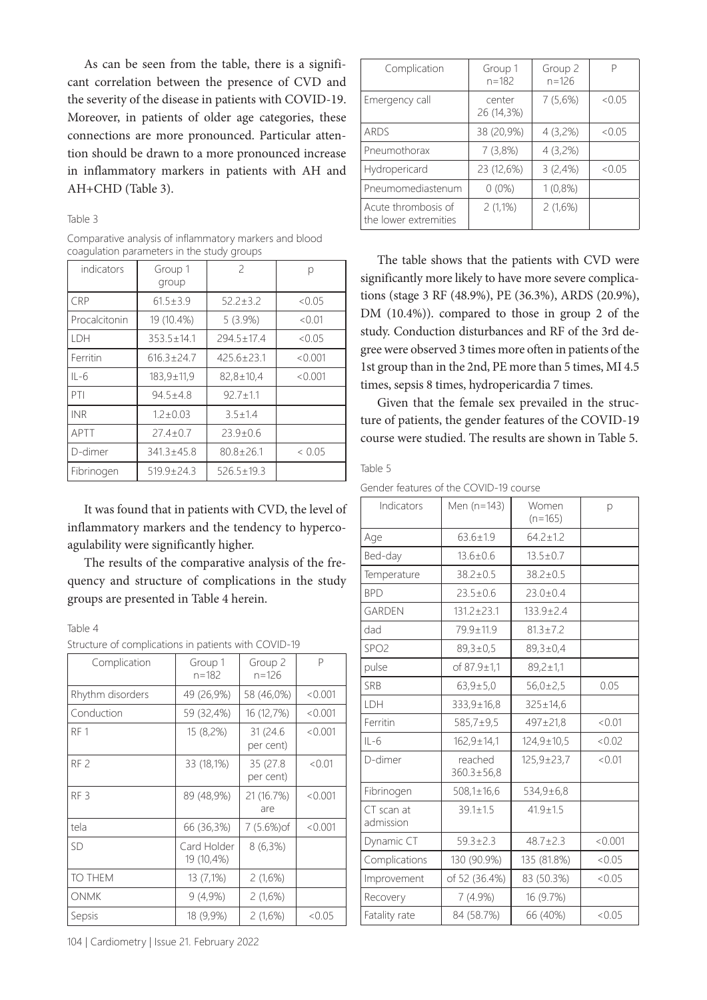As can be seen from the table, there is a significant correlation between the presence of CVD and the severity of the disease in patients with COVID-19. Moreover, in patients of older age categories, these connections are more pronounced. Particular attention should be drawn to a more pronounced increase in inflammatory markers in patients with AH and AH+CHD (Table 3).

#### Table 3

| Comparative analysis of inflammatory markers and blood |
|--------------------------------------------------------|
| coagulation parameters in the study groups             |

| indicators    | Group 1<br>group | $\overline{\phantom{0}}$ | р       |
|---------------|------------------|--------------------------|---------|
| <b>CRP</b>    | $61.5 \pm 3.9$   | $52.2 \pm 3.2$           | <0.05   |
| Procalcitonin | 19 (10.4%)       | 5(3.9%)                  | < 0.01  |
| LDH           | $353.5 \pm 14.1$ | $294.5 \pm 17.4$         | <0.05   |
| Ferritin      | $616.3 + 24.7$   | $425.6 \pm 23.1$         | < 0.001 |
| $IL-6$        | $183,9 \pm 11,9$ | $82,8 \pm 10,4$          | < 0.001 |
| PTI           | $94.5 + 4.8$     | $92.7 + 1.1$             |         |
| <b>INR</b>    | $1.2 + 0.03$     | $3.5 + 1.4$              |         |
| APTT          | $27.4 + 0.7$     | $23.9 \pm 0.6$           |         |
| D-dimer       | $341.3 \pm 45.8$ | $80.8 \pm 26.1$          | < 0.05  |
| Fibrinogen    | $519.9 \pm 24.3$ | $526.5 \pm 19.3$         |         |

It was found that in patients with CVD, the level of inflammatory markers and the tendency to hypercoagulability were significantly higher.

The results of the comparative analysis of the frequency and structure of complications in the study groups are presented in Table 4 herein.

#### Table 4

|  | Structure of complications in patients with COVID-19 |  |  |  |
|--|------------------------------------------------------|--|--|--|
|  |                                                      |  |  |  |

| Complication     | Group 1<br>$n = 182$      | Group 2<br>n=126       | P       |
|------------------|---------------------------|------------------------|---------|
| Rhythm disorders | 49 (26,9%)                | 58 (46,0%)             | < 0.001 |
| Conduction       | 59 (32,4%)                | 16 (12,7%)             | < 0.001 |
| RF <sub>1</sub>  | 15 (8,2%)                 | 31 (24.6)<br>per cent) | < 0.001 |
| RF <sub>2</sub>  | 33 (18,1%)                | 35 (27.8)<br>per cent) | < 0.01  |
| RF <sub>3</sub>  | 89 (48,9%)                | 21 (16.7%)<br>are      | < 0.001 |
| tela             | 66 (36,3%)                | 7 (5.6%) of            | < 0.001 |
| SD               | Card Holder<br>19 (10,4%) | $8(6,3\%)$             |         |
| TO THEM          | 13 (7,1%)                 | 2 (1,6%)               |         |
| <b>ONMK</b>      | 9(4,9%)                   | 2(1,6%)                |         |
| Sepsis           | 18 (9,9%)                 | 2(1,6%)                | <0.05   |

Complication | Group 1 n=182 Group 2 n=126 P Emergency call  $\qquad$  center 26 (14,3%)  $7(5.6\%)$  <0.05 ARDS 38 (20,9%) 4 (3,2%) <0.05 Pneumothorax 7 (3,8%) 4 (3,2%) Hydropericard 23 (12,6%) 3 (2,4%) <0.05 Pneumomediastenum  $\begin{bmatrix} 0 & 0\% \end{bmatrix}$  1 (0,8%) Acute thrombosis of the lower extremities 2 (1,1%) 2 (1,6%)

The table shows that the patients with CVD were significantly more likely to have more severe complications (stage 3 RF (48.9%), PE (36.3%), ARDS (20.9%), DM (10.4%)). compared to those in group 2 of the study. Conduction disturbances and RF of the 3rd degree were observed 3 times more often in patients of the 1st group than in the 2nd, PE more than 5 times, MI 4.5 times, sepsis 8 times, hydropericardia 7 times.

Given that the female sex prevailed in the structure of patients, the gender features of the COVID-19 course were studied. The results are shown in Table 5.

#### Table 5

Gender features of the COVID-19 course

| Indicators              | Men (n=143)                 | Women<br>$(n=165)$    | р       |
|-------------------------|-----------------------------|-----------------------|---------|
| Age                     | $63.6 \pm 1.9$              | $64.2 \pm 1.2$        |         |
| Bed-day                 | $13.6 \pm 0.6$              | $13.5 \pm 0.7$        |         |
| Temperature             | $38.2 \pm 0.5$              | $38.2 \pm 0.5$        |         |
| <b>BPD</b>              | $23.5 \pm 0.6$              | $23.0 \pm 0.4$        |         |
| <b>GARDEN</b>           | $131.2 + 23.1$              | $133.9 \pm 2.4$       |         |
| dad                     | 79.9±11.9                   | $81.3 \pm 7.2$        |         |
| SPO <sub>2</sub>        | $89,3 \pm 0.5$              | 89,3±0,4              |         |
| pulse                   | of 87.9±1,1                 | $89,2 \pm 1,1$        |         |
| SRB                     | $63,9 \pm 5,0$              | 56,0±2,5              | 0.05    |
| LDH                     | 333,9±16,8                  | $325 \pm 14,6$        |         |
| Ferritin                | 585,7±9,5                   | $497 \pm 21,8$        | < 0.01  |
| $IL-6$                  | $162,9 \pm 14,1$            | $124,9 \pm 10,5$      | <0.02   |
| D-dimer                 | reached<br>$360.3 \pm 56.8$ | $125,9 \pm 23,7$      | < 0.01  |
| Fibrinogen              | $508,1 \pm 16,6$            | $534,9 \pm 6,8$       |         |
| CT scan at<br>admission | $39.1 \pm 1.5$              | $41.9 \pm 1.5$        |         |
| Dynamic CT              | $59.3 \pm 2.3$              | $48.7 \pm 2.3$        | < 0.001 |
| Complications           | 130 (90.9%)                 | 135 (81.8%)<br>< 0.05 |         |
| Improvement             | of 52 (36.4%)               | 83 (50.3%)            | < 0.05  |
| Recovery                | 7(4.9%)                     | 16 (9.7%)             |         |
| Fatality rate           | 84 (58.7%)                  | 66 (40%)              | < 0.05  |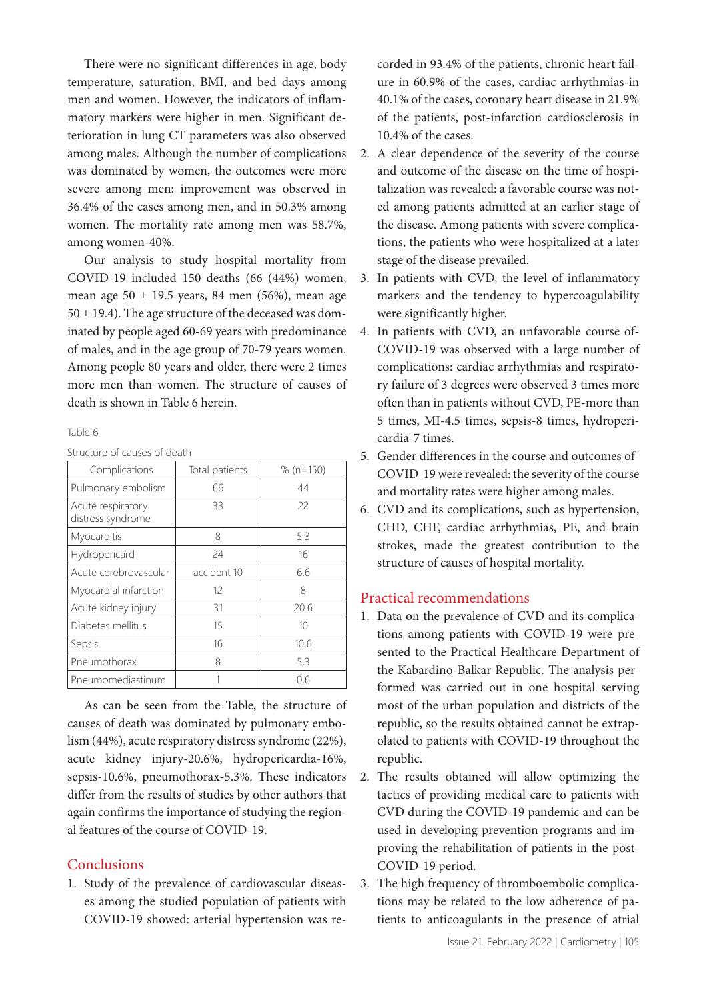There were no significant differences in age, body temperature, saturation, BMI, and bed days among men and women. However, the indicators of inflammatory markers were higher in men. Significant deterioration in lung CT parameters was also observed among males. Although the number of complications was dominated by women, the outcomes were more severe among men: improvement was observed in 36.4% of the cases among men, and in 50.3% among women. The mortality rate among men was 58.7%, among women-40%.

Our analysis to study hospital mortality from COVID-19 included 150 deaths (66 (44%) women, mean age  $50 \pm 19.5$  years, 84 men (56%), mean age  $50 \pm 19.4$ ). The age structure of the deceased was dominated by people aged 60-69 years with predominance of males, and in the age group of 70-79 years women. Among people 80 years and older, there were 2 times more men than women. The structure of causes of death is shown in Table 6 herein.

Table 6

Structure of causes of death

| Complications                          | Total patients | % $(n=150)$ |
|----------------------------------------|----------------|-------------|
| Pulmonary embolism                     | 66             | 44          |
| Acute respiratory<br>distress syndrome | 33             | 22          |
| Myocarditis                            | 8              | 5,3         |
| Hydropericard                          | 24             | 16          |
| Acute cerebrovascular                  | accident 10    | 6.6         |
| Myocardial infarction                  | 12             | 8           |
| Acute kidney injury                    | 31             | 20.6        |
| Diabetes mellitus                      | 15             | 10          |
| Sepsis                                 | 16             | 10.6        |
| Pneumothorax                           | 8              | 5,3         |
| Pneumomediastinum                      |                | 0.6         |

As can be seen from the Table, the structure of causes of death was dominated by pulmonary embolism (44%), acute respiratory distress syndrome (22%), acute kidney injury-20.6%, hydropericardia-16%, sepsis-10.6%, pneumothorax-5.3%. These indicators differ from the results of studies by other authors that again confirms the importance of studying the regional features of the course of COVID-19.

# **Conclusions**

1. Study of the prevalence of cardiovascular diseases among the studied population of patients with COVID-19 showed: arterial hypertension was recorded in 93.4% of the patients, chronic heart failure in 60.9% of the cases, cardiac arrhythmias-in 40.1% of the cases, coronary heart disease in 21.9% of the patients, post-infarction cardiosclerosis in 10.4% of the cases.

- 2. A clear dependence of the severity of the course and outcome of the disease on the time of hospitalization was revealed: a favorable course was noted among patients admitted at an earlier stage of the disease. Among patients with severe complications, the patients who were hospitalized at a later stage of the disease prevailed.
- 3. In patients with CVD, the level of inflammatory markers and the tendency to hypercoagulability were significantly higher.
- 4. In patients with CVD, an unfavorable course of-COVID-19 was observed with a large number of complications: cardiac arrhythmias and respiratory failure of 3 degrees were observed 3 times more often than in patients without CVD, PE-more than 5 times, MI-4.5 times, sepsis-8 times, hydropericardia-7 times.
- 5. Gender differences in the course and outcomes of-COVID-19 were revealed: the severity of the course and mortality rates were higher among males.
- 6. CVD and its complications, such as hypertension, CHD, CHF, cardiac arrhythmias, PE, and brain strokes, made the greatest contribution to the structure of causes of hospital mortality.

# Practical recommendations

- 1. Data on the prevalence of CVD and its complications among patients with COVID-19 were presented to the Practical Healthcare Department of the Kabardino-Balkar Republic. The analysis performed was carried out in one hospital serving most of the urban population and districts of the republic, so the results obtained cannot be extrapolated to patients with COVID-19 throughout the republic.
- 2. The results obtained will allow optimizing the tactics of providing medical care to patients with CVD during the COVID-19 pandemic and can be used in developing prevention programs and improving the rehabilitation of patients in the post-COVID-19 period.
- 3. The high frequency of thromboembolic complications may be related to the low adherence of patients to anticoagulants in the presence of atrial